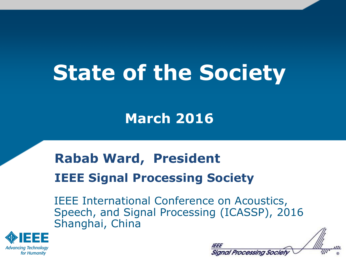# **State of the Society**

### **March 2016**

## **Rabab Ward, President IEEE Signal Processing Society**

IEEE International Conference on Acoustics, Speech, and Signal Processing (ICASSP), 2016 Shanghai, China



| Signal Processing Society |  |
|---------------------------|--|

 $\overline{\mathcal{M}}$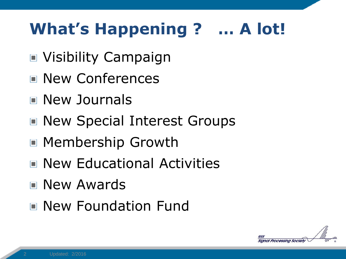# **What's Happening ? … A lot!**

- Visibility Campaign
- New Conferences
- New Journals
- New Special Interest Groups
- Membership Growth
- New Educational Activities
- **New Awards**
- New Foundation Fund

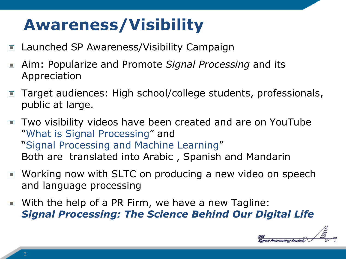# **Awareness/Visibility**

- Launched SP Awareness/Visibility Campaign  $\blacksquare$
- Aim: Popularize and Promote *Signal Processing* and its  $\Box$ Appreciation
- Target audiences: High school/college students, professionals,  $\Box$ public at large.
- Two visibility videos have been created and are on YouTube "What is Signal Processing" and "Signal Processing and Machine Learning" Both are translated into Arabic , Spanish and Mandarin
- Working now with SLTC on producing a new video on speech  $\blacksquare$ and language processing
- With the help of a PR Firm, we have a new Tagline:  $\Box$ *Signal Processing: The Science Behind Our Digital Life*

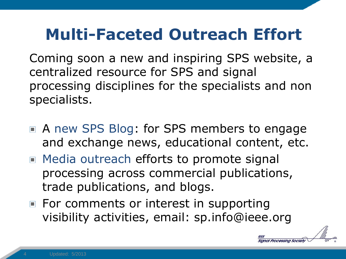# **Multi-Faceted Outreach Effort**

Coming soon a new and inspiring SPS website, a centralized resource for SPS and signal processing disciplines for the specialists and non specialists.

- A new SPS Blog: for SPS members to engage and exchange news, educational content, etc.
- Media outreach efforts to promote signal processing across commercial publications, trade publications, and blogs.
- $\blacksquare$  For comments or interest in supporting visibility activities, email: sp.info@ieee.org

Processing Society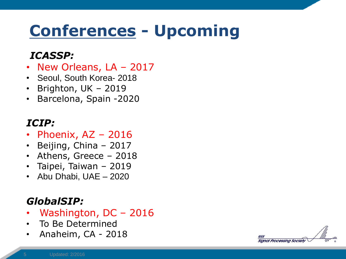# **Conferences - Upcoming**

#### *ICASSP:*

- New Orleans, LA 2017
- Seoul, South Korea- 2018
- Brighton, UK 2019
- Barcelona, Spain -2020

#### *ICIP:*

- Phoenix, AZ 2016
- Beijing, China 2017
- Athens, Greece 2018
- Taipei, Taiwan 2019
- Abu Dhabi, UAE 2020

#### *GlobalSIP:*

- Washington, DC 2016
- To Be Determined
- Anaheim, CA 2018

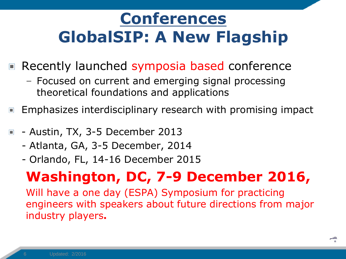# **Conferences GlobalSIP: A New Flagship**

- Recently launched symposia based conference  $\Box$ 
	- Focused on current and emerging signal processing theoretical foundations and applications
- Emphasizes interdisciplinary research with promising impact  $\Box$
- Austin, TX, 3-5 December 2013
	- Atlanta, GA, 3-5 December, 2014
	- Orlando, FL, 14-16 December 2015

### **Washington, DC, 7-9 December 2016,**

Will have a one day (ESPA) Symposium for practicing engineers with speakers about future directions from major industry players**.**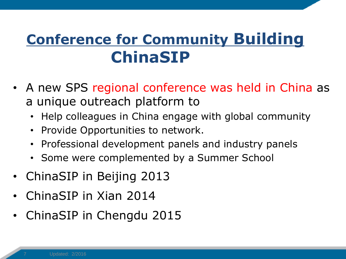## **Conference for Community Building ChinaSIP**

- A new SPS regional conference was held in China as a unique outreach platform to
	- Help colleagues in China engage with global community
	- Provide Opportunities to network.
	- Professional development panels and industry panels
	- Some were complemented by a Summer School
- ChinaSIP in Beijing 2013
- ChinaSIP in Xian 2014
- ChinaSIP in Chengdu 2015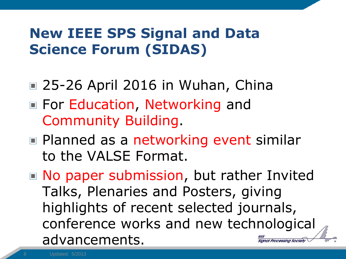### **New IEEE SPS Signal and Data Science Forum (SIDAS)**

- 25-26 April 2016 in Wuhan, China
- For Education, Networking and Community Building.
- Planned as a networking event similar to the VALSE Format.
- No paper submission, but rather Invited Talks, Plenaries and Posters, giving highlights of recent selected journals, conference works and new technological advancements. ianal Processina Society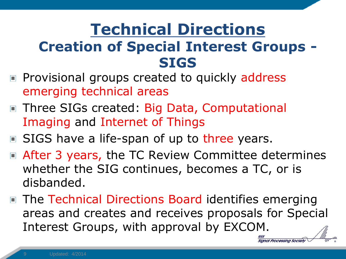### **Technical Directions Creation of Special Interest Groups - SIGS**

- **Provisional groups created to quickly address** emerging technical areas
- Three SIGs created: Big Data, Computational Imaging and Internet of Things
- SIGS have a life-span of up to three years.
- After 3 years, the TC Review Committee determines whether the SIG continues, becomes a TC, or is disbanded.
- The Technical Directions Board identifies emerging areas and creates and receives proposals for Special Interest Groups, with approval by EXCOM.

Sianal Processina Society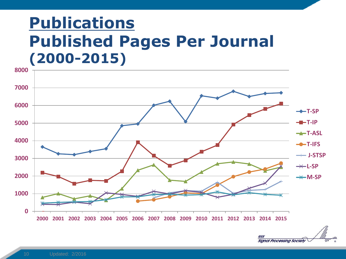## **Publications Published Pages Per Journal (2000-2015)**



IEEE Signal Processing Society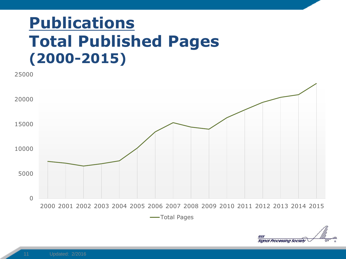## **Publications Total Published Pages (2000-2015)**



**-Total Pages** 

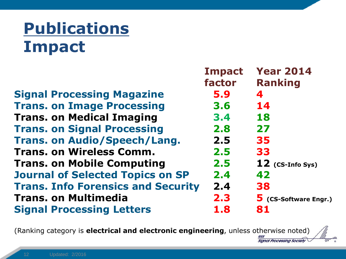# **Publications Impact**

|                                           | <b>Impact</b> | <b>Year 2014</b>             |
|-------------------------------------------|---------------|------------------------------|
|                                           | factor        | <b>Ranking</b>               |
| <b>Signal Processing Magazine</b>         | 5.9           | 4                            |
| <b>Trans. on Image Processing</b>         | 3.6           | 14                           |
| <b>Trans. on Medical Imaging</b>          | 3.4           | 18                           |
| <b>Trans. on Signal Processing</b>        | 2.8           | 27                           |
| <b>Trans. on Audio/Speech/Lang.</b>       | 2.5           | 35                           |
| <b>Trans. on Wireless Comm.</b>           | 2.5           | 33                           |
| <b>Trans. on Mobile Computing</b>         | 2.5           | $12$ (CS-Info Sys)           |
| <b>Journal of Selected Topics on SP</b>   | 2.4           | 42                           |
| <b>Trans. Info Forensics and Security</b> | 2.4           | 38                           |
| <b>Trans. on Multimedia</b>               | 2.3           | <b>5</b> (CS-Software Engr.) |
| <b>Signal Processing Letters</b>          | 1.8           | 81                           |
|                                           |               |                              |

(Ranking category is **electrical and electronic engineering**, unless otherwise noted)

leee

**Signal Processing Society** 

un.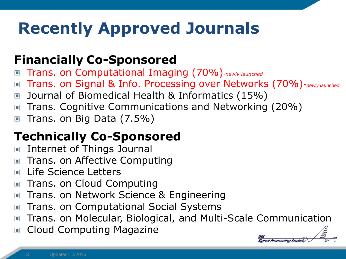# **Recently Approved Journals**

#### **Financially Co-Sponsored**

- Trans. on Computational Imaging (70%)-*newly launched*
- Trans. on Signal & Info. Processing over Networks (70%)-*newly launched*
- Journal of Biomedical Health & Informatics (15%)
- Trans. Cognitive Communications and Networking (20%)  $\Box$
- Trans. on Big Data (7.5%)  $\Box$

### **Technically Co-Sponsored**

- Internet of Things Journal  $\Box$
- Trans. on Affective Computing
- Life Science Letters
- Trans. on Cloud Computing  $\Box$
- Trans. on Network Science & Engineering  $\Box$
- Trans. on Computational Social Systems  $\Box$
- Trans. on Molecular, Biological, and Multi-Scale Communication  $\Box$
- Cloud Computing Magazine  $\Box$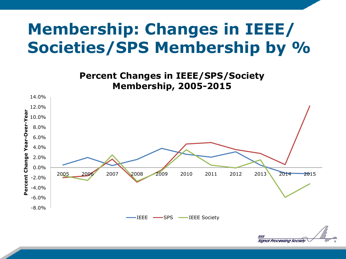# **Membership: Changes in IEEE/ Societies/SPS Membership by %**

**Percent Changes in IEEE/SPS/Society Membership, 2005-2015**



Signal Processing Society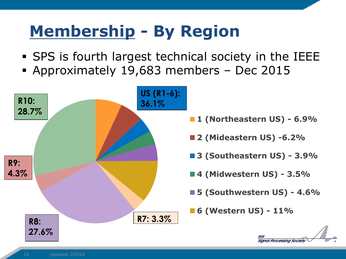# **Membership - By Region**

- SPS is fourth largest technical society in the IEEE
- Approximately 19,683 members Dec 2015

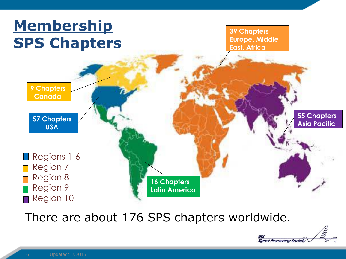

There are about 176 SPS chapters worldwide.

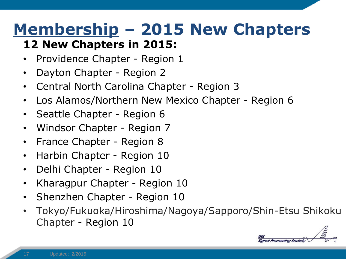# **Membership – 2015 New Chapters**

#### **12 New Chapters in 2015:**

- Providence Chapter Region 1
- Dayton Chapter Region 2
- Central North Carolina Chapter Region 3
- Los Alamos/Northern New Mexico Chapter Region 6
- Seattle Chapter Region 6
- Windsor Chapter Region 7
- France Chapter Region 8
- Harbin Chapter Region 10
- Delhi Chapter Region 10
- Kharagpur Chapter Region 10
- Shenzhen Chapter Region 10
- Tokyo/Fukuoka/Hiroshima/Nagoya/Sapporo/Shin-Etsu Shikoku Chapter - Region 10

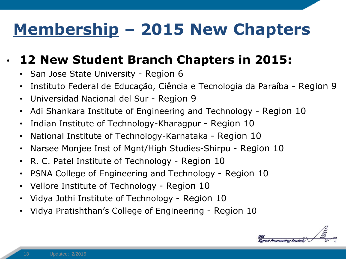# **Membership – 2015 New Chapters**

### • **12 New Student Branch Chapters in 2015:**

- San Jose State University Region 6
- Instituto Federal de Educação, Ciência e Tecnologia da Paraíba Region 9
- Universidad Nacional del Sur Region 9
- Adi Shankara Institute of Engineering and Technology Region 10
- Indian Institute of Technology-Kharagpur Region 10
- National Institute of Technology-Karnataka Region 10
- Narsee Monjee Inst of Mgnt/High Studies-Shirpu Region 10
- R. C. Patel Institute of Technology Region 10
- PSNA College of Engineering and Technology Region 10
- Vellore Institute of Technology Region 10
- Vidya Jothi Institute of Technology Region 10
- Vidya Pratishthan's College of Engineering Region 10

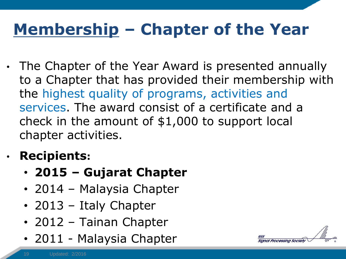# **Membership – Chapter of the Year**

• The Chapter of the Year Award is presented annually to a Chapter that has provided their membership with the highest quality of programs, activities and services. The award consist of a certificate and a check in the amount of \$1,000 to support local chapter activities.

### • **Recipients:**

- **2015 – Gujarat Chapter**
- 2014 Malaysia Chapter
- 2013 Italy Chapter
- 2012 Tainan Chapter
- 2011 Malaysia Chapter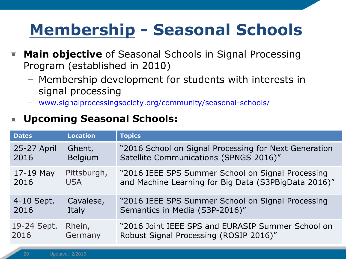# **Membership - Seasonal Schools**

- **Main objective** of Seasonal Schools in Signal Processing  $\Box$ Program (established in 2010)
	- Membership development for students with interests in signal processing
	- [www.signalprocessingsociety.org/community/seasonal-schools/](http://www.signalprocessingsociety.org/community/seasonal-schools/)

#### **Upcoming Seasonal Schools:**  $\Box$

| <b>Dates</b> | <b>Location</b> | <b>Topics</b>                                         |
|--------------|-----------------|-------------------------------------------------------|
| 25-27 April  | Ghent,          | "2016 School on Signal Processing for Next Generation |
| 2016         | <b>Belgium</b>  | Satellite Communications (SPNGS 2016)"                |
| $17-19$ May  | Pittsburgh,     | "2016 IEEE SPS Summer School on Signal Processing     |
| 2016         | <b>USA</b>      | and Machine Learning for Big Data (S3PBigData 2016)"  |
| 4-10 Sept.   | Cavalese,       | "2016 IEEE SPS Summer School on Signal Processing     |
| 2016         | Italy           | Semantics in Media (S3P-2016)"                        |
| 19-24 Sept.  | Rhein,          | "2016 Joint IEEE SPS and EURASIP Summer School on     |
| 2016         | Germany         | Robust Signal Processing (ROSIP 2016)"                |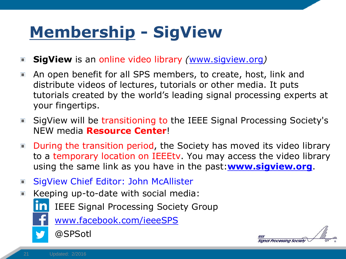# **Membership - SigView**

- **SigView** is an online video library *(*[www.sigview.org](http://www.sigview.org/)*)*   $\Box$
- An open benefit for all SPS members, to create, host, link and  $\blacksquare$ distribute videos of lectures, tutorials or other media. It puts tutorials created by the world's leading signal processing experts at your fingertips.
- SigView will be transitioning to the IEEE Signal Processing Society's NEW media **Resource Center**!
- During the transition period, the Society has moved its video library to a temporary location on IEEEtv. You may access the video library using the same link as you have in the past:**[www.sigview.org](http://www.sigview.org/)**.
- SigView Chief Editor: John McAllister  $\Box$
- Keeping up-to-date with social media:  $\Box$ 
	- IEEE Signal Processing Society Group
	-

[www.facebook.com/ieeeSPS](http://www.facebook.com/ieeeSPS)



nal Processing Societ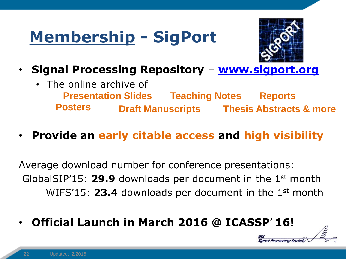# **Membership - SigPort**



- **Signal Processing Repository [www.sigport.org](http://www.sigport.org/)**
	- The online archive of **Presentation Slides Posters Draft Manuscripts Thesis Abstracts & more Reports Teaching Notes**
- **Provide an early citable access and high visibility**

Average download number for conference presentations: GlobalSIP'15: **29.9** downloads per document in the 1st month WIFS'15: 23.4 downloads per document in the 1<sup>st</sup> month

• **Official Launch in March 2016 @ ICASSP**'**16!**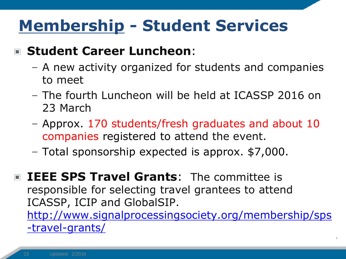# **Membership - Student Services**

#### **Student Career Luncheon**:

- A new activity organized for students and companies to meet
- The fourth Luncheon will be held at ICASSP 2016 on 23 March
- Approx. 170 students/fresh graduates and about 10 companies registered to attend the event.
- Total sponsorship expected is approx. \$7,000.

**IEEE SPS Travel Grants:** The committee is responsible for selecting travel grantees to attend ICASSP, ICIP and GlobalSIP.

[http://www.signalprocessingsociety.org/membership/sps](http://www.signalprocessingsociety.org/membership/sps-travel-grants/) -travel-grants/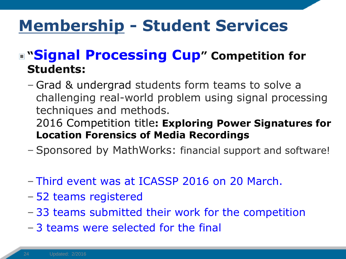# **Membership - Student Services**

### **"Signal Processing Cup" Competition for Students:**

– Grad & undergrad students form teams to solve a challenging real-world problem using signal processing techniques and methods.

2016 Competition title**: Exploring Power Signatures for Location Forensics of Media Recordings**

- Sponsored by MathWorks: financial support and software!
- Third event was at ICASSP 2016 on 20 March.
- 52 teams registered
- 33 teams submitted their work for the competition
- 3 teams were selected for the final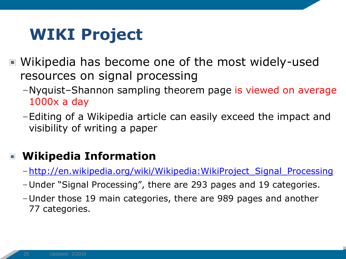# **WIKI Project**

- Wikipedia has become one of the most widely-used resources on signal processing
	- –Nyquist–Shannon sampling theorem page is viewed on average 1000x a day
	- –Editing of a Wikipedia article can easily exceed the impact and visibility of writing a paper

#### **Wikipedia Information**  $\Box$

- –[http://en.wikipedia.org/wiki/Wikipedia:WikiProject\\_Signal\\_Processing](http://en.wikipedia.org/wiki/Wikipedia:WikiProject_Signal_Processing)
- –Under "Signal Processing", there are 293 pages and 19 categories.
- –Under those 19 main categories, there are 989 pages and another 77 categories.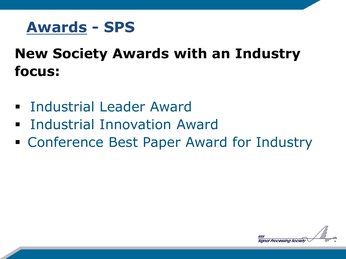

### **New Society Awards with an Industry focus:**

- **Example 1 Industrial Leader Award**
- **Findustrial Innovation Award**
- Conference Best Paper Award for Industry

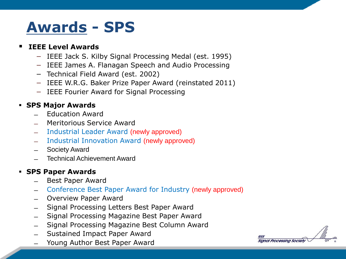## **Awards - SPS**

#### **IEEE Level Awards**

- − IEEE Jack S. Kilby Signal Processing Medal (est. 1995)
- − IEEE James A. Flanagan Speech and Audio Processing
- − Technical Field Award (est. 2002)
- − IEEE W.R.G. Baker Prize Paper Award (reinstated 2011)
- − IEEE Fourier Award for Signal Processing

#### **SPS Major Awards**

- ̶ Education Award
- ̶ Meritorious Service Award
- ̶ Industrial Leader Award (newly approved)
- ̶ Industrial Innovation Award (newly approved)
- ̶ Society Award
- ̶ Technical Achievement Award

#### **SPS Paper Awards**

- Best Paper Award
- ̶ Conference Best Paper Award for Industry (newly approved)
- ̶ Overview Paper Award
- ̶ Signal Processing Letters Best Paper Award
- ̶ Signal Processing Magazine Best Paper Award
- ̶ Signal Processing Magazine Best Column Award
- Sustained Impact Paper Award
- Young Author Best Paper Award

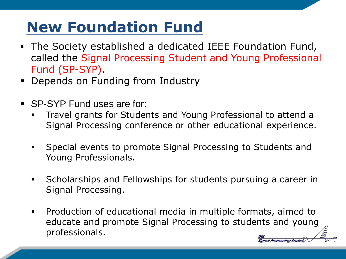# **New Foundation Fund**

- The Society established a dedicated IEEE Foundation Fund, called the Signal Processing Student and Young Professional Fund (SP-SYP).
- **-** Depends on Funding from Industry
- SP-SYP Fund uses are for:
	- Travel grants for Students and Young Professional to attend a Signal Processing conference or other educational experience.
	- Special events to promote Signal Processing to Students and Young Professionals.
	- **Scholarships and Fellowships for students pursuing a career in** Signal Processing.
	- Production of educational media in multiple formats, aimed to educate and promote Signal Processing to students and young professionals.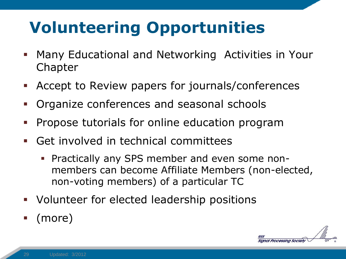# **Volunteering Opportunities**

- Many Educational and Networking Activities in Your Chapter
- Accept to Review papers for journals/conferences
- Organize conferences and seasonal schools
- Propose tutorials for online education program
- Get involved in technical committees
	- Practically any SPS member and even some nonmembers can become Affiliate Members (non-elected, non-voting members) of a particular TC
- Volunteer for elected leadership positions
- (more)

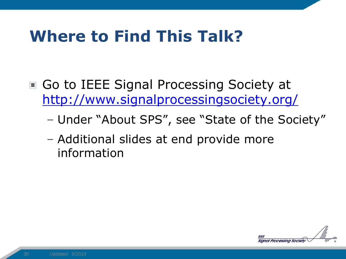# **Where to Find This Talk?**

- Go to IEEE Signal Processing Society at <http://www.signalprocessingsociety.org/>
	- Under "About SPS", see "State of the Society"
	- Additional slides at end provide more information